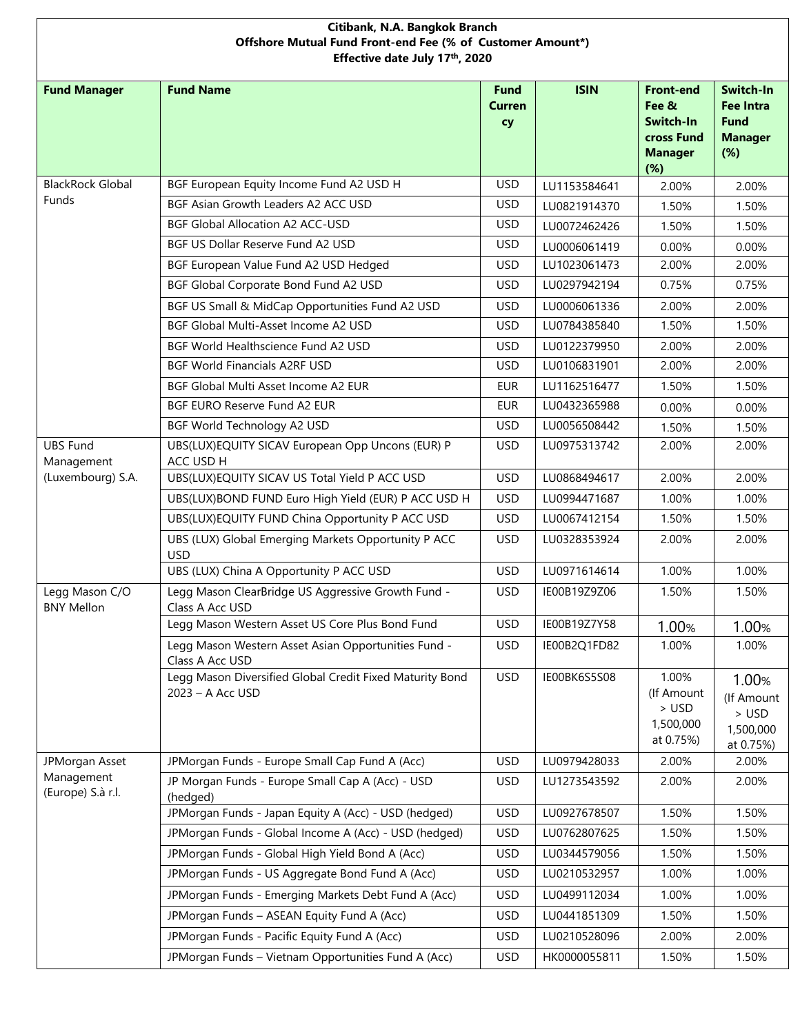| Citibank, N.A. Bangkok Branch<br>Offshore Mutual Fund Front-end Fee (% of Customer Amount*)<br>Effective date July 17th, 2020 |                                                                              |                             |              |                                                                               |                                                                       |  |
|-------------------------------------------------------------------------------------------------------------------------------|------------------------------------------------------------------------------|-----------------------------|--------------|-------------------------------------------------------------------------------|-----------------------------------------------------------------------|--|
| <b>Fund Manager</b>                                                                                                           | <b>Fund Name</b>                                                             | <b>Fund</b><br>Curren<br>cy | <b>ISIN</b>  | <b>Front-end</b><br>Fee &<br>Switch-In<br>cross Fund<br><b>Manager</b><br>(%) | Switch-In<br><b>Fee Intra</b><br><b>Fund</b><br><b>Manager</b><br>(%) |  |
| <b>BlackRock Global</b>                                                                                                       | BGF European Equity Income Fund A2 USD H                                     | <b>USD</b>                  | LU1153584641 | 2.00%                                                                         | 2.00%                                                                 |  |
| <b>Funds</b>                                                                                                                  | BGF Asian Growth Leaders A2 ACC USD                                          | <b>USD</b>                  | LU0821914370 | 1.50%                                                                         | 1.50%                                                                 |  |
|                                                                                                                               | <b>BGF Global Allocation A2 ACC-USD</b>                                      | <b>USD</b>                  | LU0072462426 | 1.50%                                                                         | 1.50%                                                                 |  |
|                                                                                                                               | BGF US Dollar Reserve Fund A2 USD                                            | <b>USD</b>                  | LU0006061419 | 0.00%                                                                         | 0.00%                                                                 |  |
|                                                                                                                               | BGF European Value Fund A2 USD Hedged                                        | <b>USD</b>                  | LU1023061473 | 2.00%                                                                         | 2.00%                                                                 |  |
|                                                                                                                               | BGF Global Corporate Bond Fund A2 USD                                        | <b>USD</b>                  | LU0297942194 | 0.75%                                                                         | 0.75%                                                                 |  |
|                                                                                                                               | BGF US Small & MidCap Opportunities Fund A2 USD                              | <b>USD</b>                  | LU0006061336 | 2.00%                                                                         | 2.00%                                                                 |  |
|                                                                                                                               | BGF Global Multi-Asset Income A2 USD                                         | <b>USD</b>                  | LU0784385840 | 1.50%                                                                         | 1.50%                                                                 |  |
|                                                                                                                               | BGF World Healthscience Fund A2 USD                                          | <b>USD</b>                  | LU0122379950 | 2.00%                                                                         | 2.00%                                                                 |  |
|                                                                                                                               | <b>BGF World Financials A2RF USD</b>                                         | <b>USD</b>                  | LU0106831901 | 2.00%                                                                         | 2.00%                                                                 |  |
|                                                                                                                               | BGF Global Multi Asset Income A2 EUR                                         | <b>EUR</b>                  | LU1162516477 | 1.50%                                                                         | 1.50%                                                                 |  |
|                                                                                                                               | BGF EURO Reserve Fund A2 EUR                                                 | <b>EUR</b>                  | LU0432365988 | 0.00%                                                                         | 0.00%                                                                 |  |
|                                                                                                                               | BGF World Technology A2 USD                                                  | <b>USD</b>                  | LU0056508442 | 1.50%                                                                         | 1.50%                                                                 |  |
| <b>UBS Fund</b><br>Management                                                                                                 | UBS(LUX)EQUITY SICAV European Opp Uncons (EUR) P<br>ACC USD H                | <b>USD</b>                  | LU0975313742 | 2.00%                                                                         | 2.00%                                                                 |  |
| (Luxembourg) S.A.                                                                                                             | UBS(LUX)EQUITY SICAV US Total Yield P ACC USD                                | <b>USD</b>                  | LU0868494617 | 2.00%                                                                         | 2.00%                                                                 |  |
|                                                                                                                               | UBS(LUX)BOND FUND Euro High Yield (EUR) P ACC USD H                          | <b>USD</b>                  | LU0994471687 | 1.00%                                                                         | 1.00%                                                                 |  |
|                                                                                                                               | UBS(LUX)EQUITY FUND China Opportunity P ACC USD                              | <b>USD</b>                  | LU0067412154 | 1.50%                                                                         | 1.50%                                                                 |  |
|                                                                                                                               | UBS (LUX) Global Emerging Markets Opportunity P ACC<br><b>USD</b>            | <b>USD</b>                  | LU0328353924 | 2.00%                                                                         | 2.00%                                                                 |  |
|                                                                                                                               | UBS (LUX) China A Opportunity P ACC USD                                      | <b>USD</b>                  | LU0971614614 | 1.00%                                                                         | 1.00%                                                                 |  |
| Legg Mason C/O<br><b>BNY Mellon</b>                                                                                           | Legg Mason ClearBridge US Aggressive Growth Fund -<br>Class A Acc USD        | <b>USD</b>                  | IE00B19Z9Z06 | 1.50%                                                                         | 1.50%                                                                 |  |
|                                                                                                                               | Legg Mason Western Asset US Core Plus Bond Fund                              | <b>USD</b>                  | IE00B19Z7Y58 | 1.00%                                                                         | 1.00%                                                                 |  |
|                                                                                                                               | Legg Mason Western Asset Asian Opportunities Fund -<br>Class A Acc USD       | <b>USD</b>                  | IE00B2Q1FD82 | 1.00%                                                                         | 1.00%                                                                 |  |
|                                                                                                                               | Legg Mason Diversified Global Credit Fixed Maturity Bond<br>2023 - A Acc USD | <b>USD</b>                  | IE00BK6S5S08 | 1.00%<br>(If Amount<br>> USD<br>1,500,000<br>at 0.75%)                        | 1.00%<br>(If Amount<br>$>$ USD<br>1,500,000<br>at 0.75%)              |  |
| JPMorgan Asset<br>Management<br>(Europe) S.à r.l.                                                                             | JPMorgan Funds - Europe Small Cap Fund A (Acc)                               | <b>USD</b>                  | LU0979428033 | 2.00%                                                                         | 2.00%                                                                 |  |
|                                                                                                                               | JP Morgan Funds - Europe Small Cap A (Acc) - USD<br>(hedged)                 | <b>USD</b>                  | LU1273543592 | 2.00%                                                                         | 2.00%                                                                 |  |
|                                                                                                                               | JPMorgan Funds - Japan Equity A (Acc) - USD (hedged)                         | <b>USD</b>                  | LU0927678507 | 1.50%                                                                         | 1.50%                                                                 |  |
|                                                                                                                               | JPMorgan Funds - Global Income A (Acc) - USD (hedged)                        | <b>USD</b>                  | LU0762807625 | 1.50%                                                                         | 1.50%                                                                 |  |
|                                                                                                                               | JPMorgan Funds - Global High Yield Bond A (Acc)                              | USD                         | LU0344579056 | 1.50%                                                                         | 1.50%                                                                 |  |
|                                                                                                                               | JPMorgan Funds - US Aggregate Bond Fund A (Acc)                              | USD                         | LU0210532957 | 1.00%                                                                         | 1.00%                                                                 |  |
|                                                                                                                               | JPMorgan Funds - Emerging Markets Debt Fund A (Acc)                          | <b>USD</b>                  | LU0499112034 | 1.00%                                                                         | 1.00%                                                                 |  |
|                                                                                                                               | JPMorgan Funds - ASEAN Equity Fund A (Acc)                                   | <b>USD</b>                  | LU0441851309 | 1.50%                                                                         | 1.50%                                                                 |  |
|                                                                                                                               | JPMorgan Funds - Pacific Equity Fund A (Acc)                                 | USD.                        | LU0210528096 | 2.00%                                                                         | 2.00%                                                                 |  |
|                                                                                                                               | JPMorgan Funds - Vietnam Opportunities Fund A (Acc)                          | <b>USD</b>                  | HK0000055811 | 1.50%                                                                         | 1.50%                                                                 |  |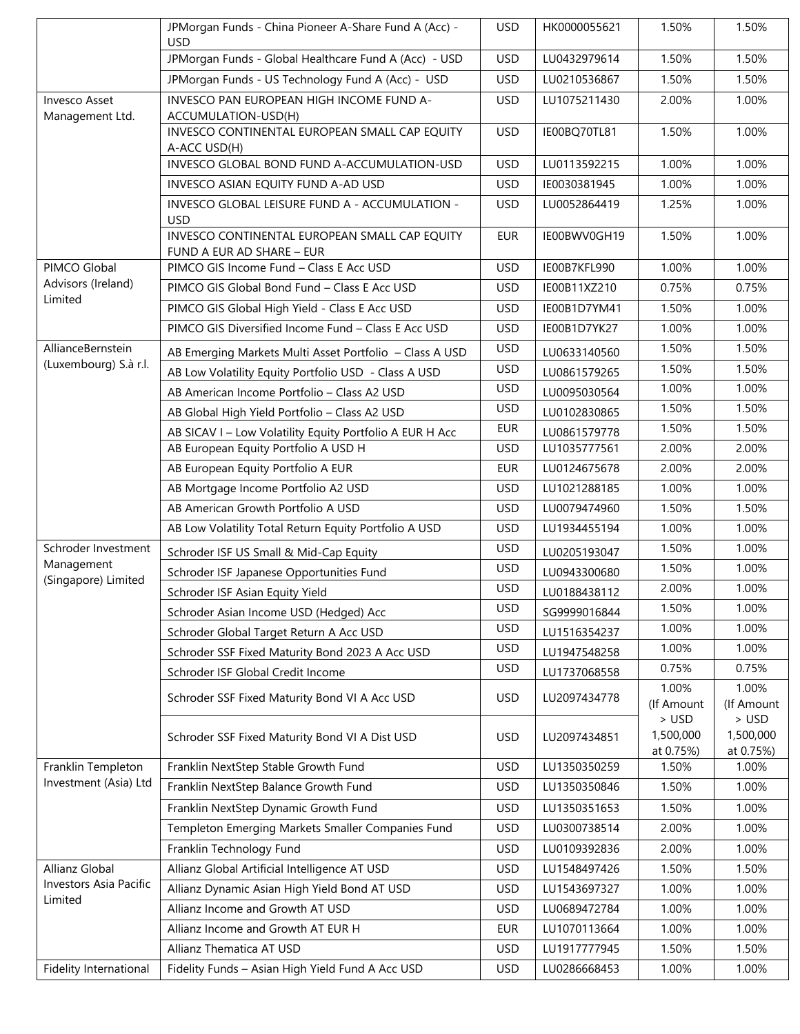|                                                     | JPMorgan Funds - China Pioneer A-Share Fund A (Acc) -                      | <b>USD</b> | HK0000055621 | 1.50%                           | 1.50%                           |
|-----------------------------------------------------|----------------------------------------------------------------------------|------------|--------------|---------------------------------|---------------------------------|
|                                                     | <b>USD</b><br>JPMorgan Funds - Global Healthcare Fund A (Acc) - USD        | <b>USD</b> | LU0432979614 | 1.50%                           | 1.50%                           |
|                                                     | JPMorgan Funds - US Technology Fund A (Acc) - USD                          | <b>USD</b> | LU0210536867 | 1.50%                           | 1.50%                           |
| <b>Invesco Asset</b><br>Management Ltd.             | INVESCO PAN EUROPEAN HIGH INCOME FUND A-<br>ACCUMULATION-USD(H)            | <b>USD</b> | LU1075211430 | 2.00%                           | 1.00%                           |
|                                                     | INVESCO CONTINENTAL EUROPEAN SMALL CAP EQUITY<br>A-ACC USD(H)              | <b>USD</b> | IE00BQ70TL81 | 1.50%                           | 1.00%                           |
|                                                     | INVESCO GLOBAL BOND FUND A-ACCUMULATION-USD                                | <b>USD</b> | LU0113592215 | 1.00%                           | 1.00%                           |
|                                                     | INVESCO ASIAN EQUITY FUND A-AD USD                                         | <b>USD</b> | IE0030381945 | 1.00%                           | 1.00%                           |
|                                                     | INVESCO GLOBAL LEISURE FUND A - ACCUMULATION -<br><b>USD</b>               | <b>USD</b> | LU0052864419 | 1.25%                           | 1.00%                           |
|                                                     | INVESCO CONTINENTAL EUROPEAN SMALL CAP EQUITY<br>FUND A EUR AD SHARE - EUR | <b>EUR</b> | IE00BWV0GH19 | 1.50%                           | 1.00%                           |
| PIMCO Global                                        | PIMCO GIS Income Fund - Class E Acc USD                                    | <b>USD</b> | IE00B7KFL990 | 1.00%                           | 1.00%                           |
| Advisors (Ireland)<br>Limited                       | PIMCO GIS Global Bond Fund - Class E Acc USD                               | <b>USD</b> | IE00B11XZ210 | 0.75%                           | 0.75%                           |
|                                                     | PIMCO GIS Global High Yield - Class E Acc USD                              | <b>USD</b> | IE00B1D7YM41 | 1.50%                           | 1.00%                           |
|                                                     | PIMCO GIS Diversified Income Fund - Class E Acc USD                        | <b>USD</b> | IE00B1D7YK27 | 1.00%                           | 1.00%                           |
| AllianceBernstein                                   | AB Emerging Markets Multi Asset Portfolio - Class A USD                    | <b>USD</b> | LU0633140560 | 1.50%                           | 1.50%                           |
| (Luxembourg) S.à r.l.                               | AB Low Volatility Equity Portfolio USD - Class A USD                       | <b>USD</b> | LU0861579265 | 1.50%                           | 1.50%                           |
|                                                     | AB American Income Portfolio - Class A2 USD                                | <b>USD</b> | LU0095030564 | 1.00%                           | 1.00%                           |
|                                                     | AB Global High Yield Portfolio - Class A2 USD                              | <b>USD</b> | LU0102830865 | 1.50%                           | 1.50%                           |
|                                                     | AB SICAV I - Low Volatility Equity Portfolio A EUR H Acc                   | <b>EUR</b> | LU0861579778 | 1.50%                           | 1.50%                           |
|                                                     | AB European Equity Portfolio A USD H                                       | <b>USD</b> | LU1035777561 | 2.00%                           | 2.00%                           |
|                                                     | AB European Equity Portfolio A EUR                                         | <b>EUR</b> | LU0124675678 | 2.00%                           | 2.00%                           |
|                                                     | AB Mortgage Income Portfolio A2 USD                                        | <b>USD</b> | LU1021288185 | 1.00%                           | 1.00%                           |
|                                                     | AB American Growth Portfolio A USD                                         | <b>USD</b> | LU0079474960 | 1.50%                           | 1.50%                           |
|                                                     | AB Low Volatility Total Return Equity Portfolio A USD                      | <b>USD</b> | LU1934455194 | 1.00%                           | 1.00%                           |
| Schroder Investment                                 | Schroder ISF US Small & Mid-Cap Equity                                     | <b>USD</b> | LU0205193047 | 1.50%                           | 1.00%                           |
| Management                                          | Schroder ISF Japanese Opportunities Fund                                   | <b>USD</b> | LU0943300680 | 1.50%                           | 1.00%                           |
| (Singapore) Limited                                 | Schroder ISF Asian Equity Yield                                            | <b>USD</b> | LU0188438112 | 2.00%                           | 1.00%                           |
|                                                     | Schroder Asian Income USD (Hedged) Acc                                     | USD.       | SG9999016844 | 1.50%                           | 1.00%                           |
|                                                     | Schroder Global Target Return A Acc USD                                    | <b>USD</b> | LU1516354237 | 1.00%                           | 1.00%                           |
|                                                     | Schroder SSF Fixed Maturity Bond 2023 A Acc USD                            | <b>USD</b> | LU1947548258 | 1.00%                           | 1.00%                           |
|                                                     | Schroder ISF Global Credit Income                                          | <b>USD</b> | LU1737068558 | 0.75%                           | 0.75%                           |
|                                                     | Schroder SSF Fixed Maturity Bond VI A Acc USD                              | <b>USD</b> | LU2097434778 | 1.00%<br>(If Amount             | 1.00%<br>(If Amount             |
|                                                     | Schroder SSF Fixed Maturity Bond VI A Dist USD                             | <b>USD</b> | LU2097434851 | > USD<br>1,500,000<br>at 0.75%) | > USD<br>1,500,000<br>at 0.75%) |
| Franklin Templeton<br>Investment (Asia) Ltd         | Franklin NextStep Stable Growth Fund                                       | <b>USD</b> | LU1350350259 | 1.50%                           | 1.00%                           |
|                                                     | Franklin NextStep Balance Growth Fund                                      | <b>USD</b> | LU1350350846 | 1.50%                           | 1.00%                           |
|                                                     | Franklin NextStep Dynamic Growth Fund                                      | <b>USD</b> | LU1350351653 | 1.50%                           | 1.00%                           |
|                                                     | Templeton Emerging Markets Smaller Companies Fund                          | <b>USD</b> | LU0300738514 | 2.00%                           | 1.00%                           |
|                                                     | Franklin Technology Fund                                                   | <b>USD</b> | LU0109392836 | 2.00%                           | 1.00%                           |
| Allianz Global<br>Investors Asia Pacific<br>Limited | Allianz Global Artificial Intelligence AT USD                              | <b>USD</b> | LU1548497426 | 1.50%                           | 1.50%                           |
|                                                     | Allianz Dynamic Asian High Yield Bond AT USD                               | <b>USD</b> | LU1543697327 | 1.00%                           | 1.00%                           |
|                                                     | Allianz Income and Growth AT USD                                           | <b>USD</b> | LU0689472784 | 1.00%                           | 1.00%                           |
|                                                     | Allianz Income and Growth AT EUR H                                         | <b>EUR</b> | LU1070113664 | 1.00%                           | 1.00%                           |
|                                                     | Allianz Thematica AT USD                                                   | <b>USD</b> | LU1917777945 | 1.50%                           | 1.50%                           |
| Fidelity International                              | Fidelity Funds - Asian High Yield Fund A Acc USD                           | <b>USD</b> | LU0286668453 | 1.00%                           | 1.00%                           |